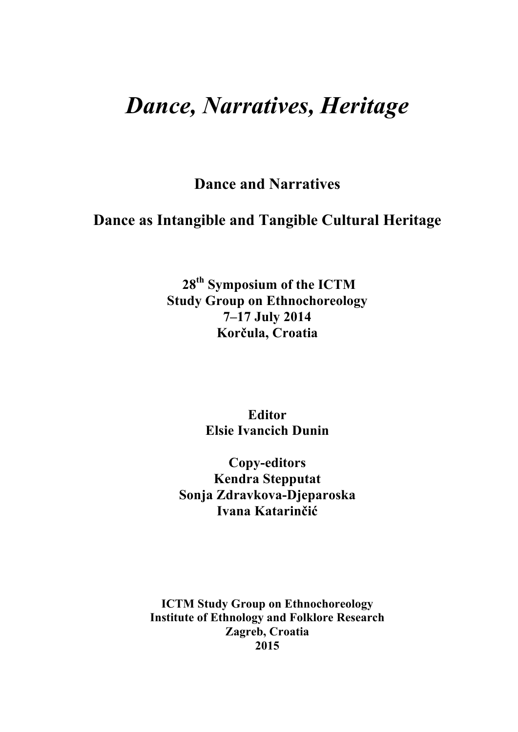# *Dance, Narratives, Heritage*

**Dance and Narratives**

**Dance as Intangible and Tangible Cultural Heritage**

**28th Symposium of the ICTM Study Group on Ethnochoreology 7–17 July 2014 Korčula, Croatia**

> **Editor Elsie Ivancich Dunin**

**Copy-editors Kendra Stepputat Sonja Zdravkova-Djeparoska Ivana Katarinčić**

**ICTM Study Group on Ethnochoreology Institute of Ethnology and Folklore Research Zagreb, Croatia 2015**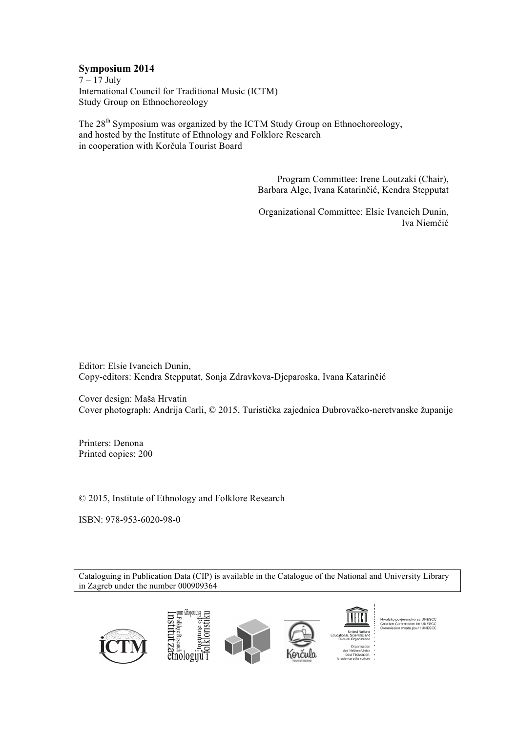# **Symposium 2014**

 $7 - 17$  July International Council for Traditional Music (ICTM) Study Group on Ethnochoreology

The 28<sup>th</sup> Symposium was organized by the ICTM Study Group on Ethnochoreology, and hosted by the Institute of Ethnology and Folklore Research in cooperation with Korčula Tourist Board

> Program Committee: Irene Loutzaki (Chair), Barbara Alge, Ivana Katarinčić, Kendra Stepputat

> Organizational Committee: Elsie Ivancich Dunin, Iva Niemčić

Editor: Elsie Ivancich Dunin, Copy-editors: Kendra Stepputat, Sonja Zdravkova-Djeparoska, Ivana Katarinčić

Cover design: Maša Hrvatin Cover photograph: Andrija Carli, © 2015, Turistička zajednica Dubrovačko-neretvanske županije

Printers: Denona Printed copies: 200

© 2015, Institute of Ethnology and Folklore Research

ISBN: 978-953-6020-98-0

Cataloguing in Publication Data (CIP) is available in the Catalogue of the National and University Library in Zagreb under the number 000909364

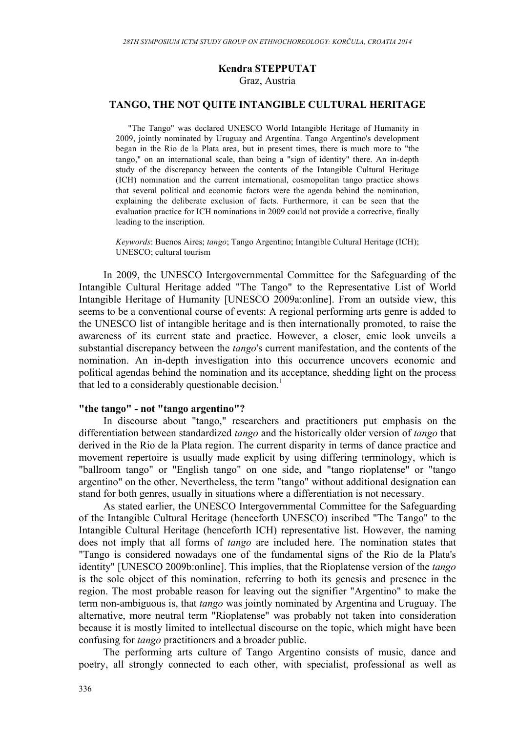# **Kendra STEPPUTAT** Graz, Austria

# **TANGO, THE NOT QUITE INTANGIBLE CULTURAL HERITAGE**

"The Tango" was declared UNESCO World Intangible Heritage of Humanity in 2009, jointly nominated by Uruguay and Argentina. Tango Argentino's development began in the Rio de la Plata area, but in present times, there is much more to "the tango," on an international scale, than being a "sign of identity" there. An in-depth study of the discrepancy between the contents of the Intangible Cultural Heritage (ICH) nomination and the current international, cosmopolitan tango practice shows that several political and economic factors were the agenda behind the nomination, explaining the deliberate exclusion of facts. Furthermore, it can be seen that the evaluation practice for ICH nominations in 2009 could not provide a corrective, finally leading to the inscription.

*Keywords*: Buenos Aires; *tango*; Tango Argentino; Intangible Cultural Heritage (ICH); UNESCO; cultural tourism

In 2009, the UNESCO Intergovernmental Committee for the Safeguarding of the Intangible Cultural Heritage added "The Tango" to the Representative List of World Intangible Heritage of Humanity [UNESCO 2009a:online]. From an outside view, this seems to be a conventional course of events: A regional performing arts genre is added to the UNESCO list of intangible heritage and is then internationally promoted, to raise the awareness of its current state and practice. However, a closer, emic look unveils a substantial discrepancy between the *tango*'s current manifestation, and the contents of the nomination. An in-depth investigation into this occurrence uncovers economic and political agendas behind the nomination and its acceptance, shedding light on the process that led to a considerably questionable decision.<sup>1</sup>

# **"the tango" - not "tango argentino"?**

In discourse about "tango," researchers and practitioners put emphasis on the differentiation between standardized *tango* and the historically older version of *tango* that derived in the Rio de la Plata region. The current disparity in terms of dance practice and movement repertoire is usually made explicit by using differing terminology, which is "ballroom tango" or "English tango" on one side, and "tango rioplatense" or "tango argentino" on the other. Nevertheless, the term "tango" without additional designation can stand for both genres, usually in situations where a differentiation is not necessary.

As stated earlier, the UNESCO Intergovernmental Committee for the Safeguarding of the Intangible Cultural Heritage (henceforth UNESCO) inscribed "The Tango" to the Intangible Cultural Heritage (henceforth ICH) representative list. However, the naming does not imply that all forms of *tango* are included here. The nomination states that "Tango is considered nowadays one of the fundamental signs of the Rio de la Plata's identity" [UNESCO 2009b:online]. This implies, that the Rioplatense version of the *tango* is the sole object of this nomination, referring to both its genesis and presence in the region. The most probable reason for leaving out the signifier "Argentino" to make the term non-ambiguous is, that *tango* was jointly nominated by Argentina and Uruguay. The alternative, more neutral term "Rioplatense" was probably not taken into consideration because it is mostly limited to intellectual discourse on the topic, which might have been confusing for *tango* practitioners and a broader public.

The performing arts culture of Tango Argentino consists of music, dance and poetry, all strongly connected to each other, with specialist, professional as well as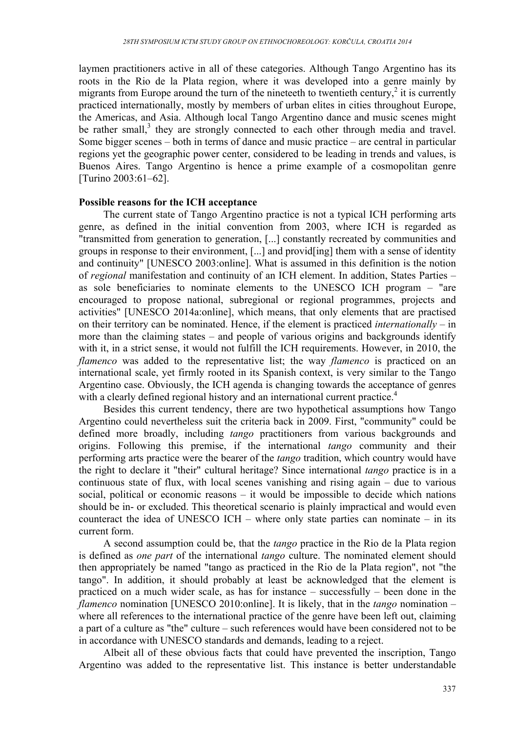laymen practitioners active in all of these categories. Although Tango Argentino has its roots in the Rio de la Plata region, where it was developed into a genre mainly by migrants from Europe around the turn of the nineteeth to twentieth century,<sup>2</sup> it is currently practiced internationally, mostly by members of urban elites in cities throughout Europe, the Americas, and Asia. Although local Tango Argentino dance and music scenes might be rather small,<sup>3</sup> they are strongly connected to each other through media and travel. Some bigger scenes – both in terms of dance and music practice – are central in particular regions yet the geographic power center, considered to be leading in trends and values, is Buenos Aires. Tango Argentino is hence a prime example of a cosmopolitan genre [Turino 2003:61–62].

# **Possible reasons for the ICH acceptance**

The current state of Tango Argentino practice is not a typical ICH performing arts genre, as defined in the initial convention from 2003, where ICH is regarded as "transmitted from generation to generation, [...] constantly recreated by communities and groups in response to their environment, [...] and provid[ing] them with a sense of identity and continuity" [UNESCO 2003:online]. What is assumed in this definition is the notion of *regional* manifestation and continuity of an ICH element. In addition, States Parties – as sole beneficiaries to nominate elements to the UNESCO ICH program – "are encouraged to propose national, subregional or regional programmes, projects and activities" [UNESCO 2014a:online], which means, that only elements that are practised on their territory can be nominated. Hence, if the element is practiced *internationally –* in more than the claiming states – and people of various origins and backgrounds identify with it, in a strict sense, it would not fulfill the ICH requirements. However, in 2010, the *flamenco* was added to the representative list; the way *flamenco* is practiced on an international scale, yet firmly rooted in its Spanish context, is very similar to the Tango Argentino case. Obviously, the ICH agenda is changing towards the acceptance of genres with a clearly defined regional history and an international current practice.<sup>4</sup>

Besides this current tendency, there are two hypothetical assumptions how Tango Argentino could nevertheless suit the criteria back in 2009. First, "community" could be defined more broadly, including *tango* practitioners from various backgrounds and origins. Following this premise, if the international *tango* community and their performing arts practice were the bearer of the *tango* tradition, which country would have the right to declare it "their" cultural heritage? Since international *tango* practice is in a continuous state of flux, with local scenes vanishing and rising again – due to various social, political or economic reasons – it would be impossible to decide which nations should be in- or excluded. This theoretical scenario is plainly impractical and would even counteract the idea of UNESCO ICH – where only state parties can nominate – in its current form.

A second assumption could be, that the *tango* practice in the Rio de la Plata region is defined as *one part* of the international *tango* culture. The nominated element should then appropriately be named "tango as practiced in the Rio de la Plata region", not "the tango". In addition, it should probably at least be acknowledged that the element is practiced on a much wider scale, as has for instance – successfully – been done in the *flamenco* nomination [UNESCO 2010:online]. It is likely, that in the *tango* nomination – where all references to the international practice of the genre have been left out, claiming a part of a culture as "the" culture – such references would have been considered not to be in accordance with UNESCO standards and demands, leading to a reject.

Albeit all of these obvious facts that could have prevented the inscription, Tango Argentino was added to the representative list. This instance is better understandable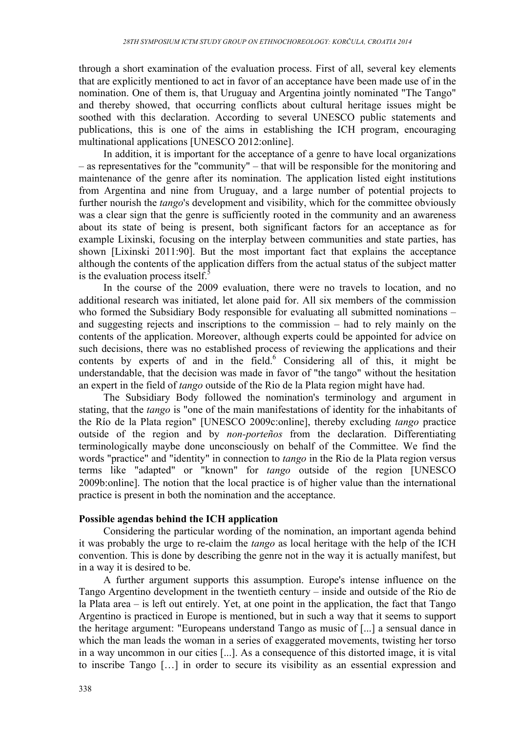through a short examination of the evaluation process. First of all, several key elements that are explicitly mentioned to act in favor of an acceptance have been made use of in the nomination. One of them is, that Uruguay and Argentina jointly nominated "The Tango" and thereby showed, that occurring conflicts about cultural heritage issues might be soothed with this declaration. According to several UNESCO public statements and publications, this is one of the aims in establishing the ICH program, encouraging multinational applications [UNESCO 2012:online].

In addition, it is important for the acceptance of a genre to have local organizations – as representatives for the "community" – that will be responsible for the monitoring and maintenance of the genre after its nomination. The application listed eight institutions from Argentina and nine from Uruguay, and a large number of potential projects to further nourish the *tango*'s development and visibility, which for the committee obviously was a clear sign that the genre is sufficiently rooted in the community and an awareness about its state of being is present, both significant factors for an acceptance as for example Lixinski, focusing on the interplay between communities and state parties, has shown [Lixinski 2011:90]. But the most important fact that explains the acceptance although the contents of the application differs from the actual status of the subject matter is the evaluation process itself.<sup>5</sup>

In the course of the 2009 evaluation, there were no travels to location, and no additional research was initiated, let alone paid for. All six members of the commission who formed the Subsidiary Body responsible for evaluating all submitted nominations – and suggesting rejects and inscriptions to the commission – had to rely mainly on the contents of the application. Moreover, although experts could be appointed for advice on such decisions, there was no established process of reviewing the applications and their contents by experts of and in the field. <sup>6</sup> Considering all of this, it might be understandable, that the decision was made in favor of "the tango" without the hesitation an expert in the field of *tango* outside of the Rio de la Plata region might have had.

The Subsidiary Body followed the nomination's terminology and argument in stating, that the *tango* is "one of the main manifestations of identity for the inhabitants of the Río de la Plata region" [UNESCO 2009c:online], thereby excluding *tango* practice outside of the region and by *non-porteños* from the declaration. Differentiating terminologically maybe done unconsciously on behalf of the Committee. We find the words "practice" and "identity" in connection to *tango* in the Rio de la Plata region versus terms like "adapted" or "known" for *tango* outside of the region [UNESCO 2009b:online]. The notion that the local practice is of higher value than the international practice is present in both the nomination and the acceptance.

# **Possible agendas behind the ICH application**

Considering the particular wording of the nomination, an important agenda behind it was probably the urge to re-claim the *tango* as local heritage with the help of the ICH convention. This is done by describing the genre not in the way it is actually manifest, but in a way it is desired to be.

A further argument supports this assumption. Europe's intense influence on the Tango Argentino development in the twentieth century – inside and outside of the Rio de la Plata area – is left out entirely. Yet, at one point in the application, the fact that Tango Argentino is practiced in Europe is mentioned, but in such a way that it seems to support the heritage argument: "Europeans understand Tango as music of [...] a sensual dance in which the man leads the woman in a series of exaggerated movements, twisting her torso in a way uncommon in our cities [...]. As a consequence of this distorted image, it is vital to inscribe Tango […] in order to secure its visibility as an essential expression and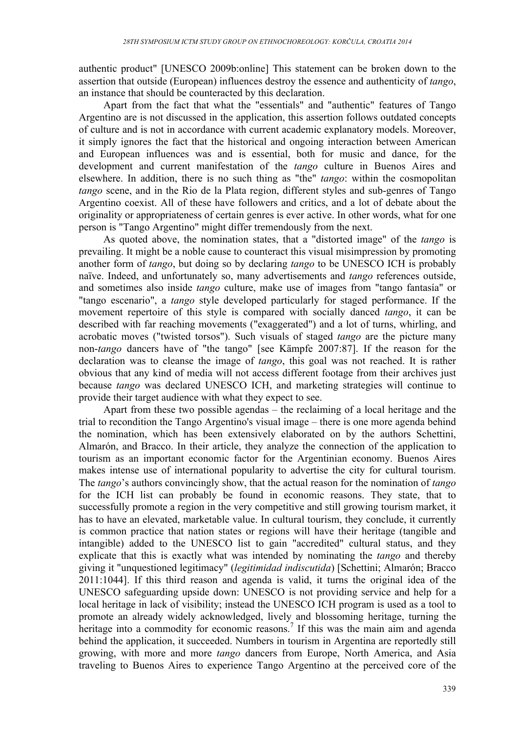authentic product" [UNESCO 2009b:online] This statement can be broken down to the assertion that outside (European) influences destroy the essence and authenticity of *tango*, an instance that should be counteracted by this declaration.

Apart from the fact that what the "essentials" and "authentic" features of Tango Argentino are is not discussed in the application, this assertion follows outdated concepts of culture and is not in accordance with current academic explanatory models. Moreover, it simply ignores the fact that the historical and ongoing interaction between American and European influences was and is essential, both for music and dance, for the development and current manifestation of the *tango* culture in Buenos Aires and elsewhere. In addition, there is no such thing as "the" *tango*: within the cosmopolitan *tango* scene, and in the Rio de la Plata region, different styles and sub-genres of Tango Argentino coexist. All of these have followers and critics, and a lot of debate about the originality or appropriateness of certain genres is ever active. In other words, what for one person is "Tango Argentino" might differ tremendously from the next.

As quoted above, the nomination states, that a "distorted image" of the *tango* is prevailing. It might be a noble cause to counteract this visual misimpression by promoting another form of *tango*, but doing so by declaring *tango* to be UNESCO ICH is probably naïve. Indeed, and unfortunately so, many advertisements and *tango* references outside, and sometimes also inside *tango* culture, make use of images from "tango fantasía" or "tango escenario", a *tango* style developed particularly for staged performance. If the movement repertoire of this style is compared with socially danced *tango*, it can be described with far reaching movements ("exaggerated") and a lot of turns, whirling, and acrobatic moves ("twisted torsos"). Such visuals of staged *tango* are the picture many non-*tango* dancers have of "the tango" [see Kämpfe 2007:87]. If the reason for the declaration was to cleanse the image of *tango*, this goal was not reached. It is rather obvious that any kind of media will not access different footage from their archives just because *tango* was declared UNESCO ICH, and marketing strategies will continue to provide their target audience with what they expect to see.

Apart from these two possible agendas – the reclaiming of a local heritage and the trial to recondition the Tango Argentino's visual image – there is one more agenda behind the nomination, which has been extensively elaborated on by the authors Schettini, Almarón, and Bracco. In their article, they analyze the connection of the application to tourism as an important economic factor for the Argentinian economy. Buenos Aires makes intense use of international popularity to advertise the city for cultural tourism. The *tango*'s authors convincingly show, that the actual reason for the nomination of *tango* for the ICH list can probably be found in economic reasons. They state, that to successfully promote a region in the very competitive and still growing tourism market, it has to have an elevated, marketable value. In cultural tourism, they conclude, it currently is common practice that nation states or regions will have their heritage (tangible and intangible) added to the UNESCO list to gain "accredited" cultural status, and they explicate that this is exactly what was intended by nominating the *tango* and thereby giving it "unquestioned legitimacy" (*legitimidad indiscutida*) [Schettini; Almarón; Bracco 2011:1044]. If this third reason and agenda is valid, it turns the original idea of the UNESCO safeguarding upside down: UNESCO is not providing service and help for a local heritage in lack of visibility; instead the UNESCO ICH program is used as a tool to promote an already widely acknowledged, lively and blossoming heritage, turning the heritage into a commodity for economic reasons.<sup>7</sup> If this was the main aim and agenda behind the application, it succeeded. Numbers in tourism in Argentina are reportedly still growing, with more and more *tango* dancers from Europe, North America, and Asia traveling to Buenos Aires to experience Tango Argentino at the perceived core of the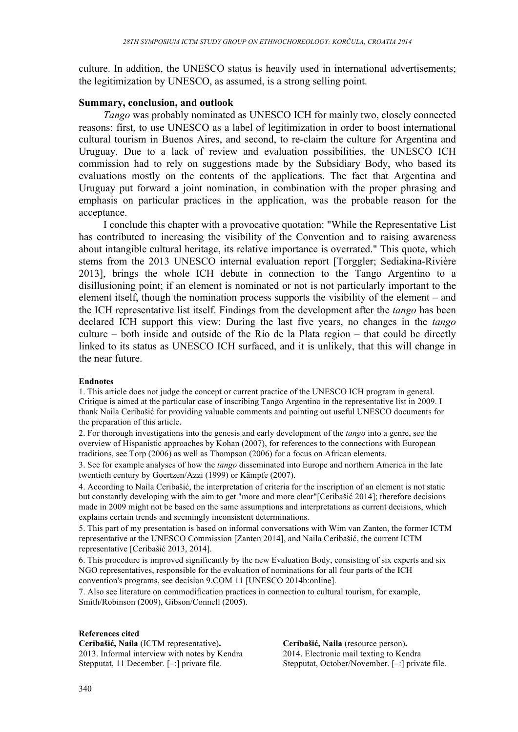culture. In addition, the UNESCO status is heavily used in international advertisements; the legitimization by UNESCO, as assumed, is a strong selling point.

## **Summary, conclusion, and outlook**

*Tango* was probably nominated as UNESCO ICH for mainly two, closely connected reasons: first, to use UNESCO as a label of legitimization in order to boost international cultural tourism in Buenos Aires, and second, to re-claim the culture for Argentina and Uruguay. Due to a lack of review and evaluation possibilities, the UNESCO ICH commission had to rely on suggestions made by the Subsidiary Body, who based its evaluations mostly on the contents of the applications. The fact that Argentina and Uruguay put forward a joint nomination, in combination with the proper phrasing and emphasis on particular practices in the application, was the probable reason for the acceptance.

I conclude this chapter with a provocative quotation: "While the Representative List has contributed to increasing the visibility of the Convention and to raising awareness about intangible cultural heritage, its relative importance is overrated." This quote, which stems from the 2013 UNESCO internal evaluation report [Torggler; Sediakina-Rivière 2013], brings the whole ICH debate in connection to the Tango Argentino to a disillusioning point; if an element is nominated or not is not particularly important to the element itself, though the nomination process supports the visibility of the element – and the ICH representative list itself. Findings from the development after the *tango* has been declared ICH support this view: During the last five years, no changes in the *tango* culture – both inside and outside of the Rio de la Plata region – that could be directly linked to its status as UNESCO ICH surfaced, and it is unlikely, that this will change in the near future.

## **Endnotes**

1. This article does not judge the concept or current practice of the UNESCO ICH program in general. Critique is aimed at the particular case of inscribing Tango Argentino in the representative list in 2009. I thank Naila Ceribašić for providing valuable comments and pointing out useful UNESCO documents for the preparation of this article.

2. For thorough investigations into the genesis and early development of the *tango* into a genre, see the overview of Hispanistic approaches by Kohan (2007), for references to the connections with European traditions, see Torp (2006) as well as Thompson (2006) for a focus on African elements.

3. See for example analyses of how the *tango* disseminated into Europe and northern America in the late twentieth century by Goertzen/Azzi (1999) or Kämpfe (2007).

4. According to Naila Ceribašić, the interpretation of criteria for the inscription of an element is not static but constantly developing with the aim to get "more and more clear"[Ceribašić 2014]; therefore decisions made in 2009 might not be based on the same assumptions and interpretations as current decisions, which explains certain trends and seemingly inconsistent determinations.

5. This part of my presentation is based on informal conversations with Wim van Zanten, the former ICTM representative at the UNESCO Commission [Zanten 2014], and Naila Ceribašić, the current ICTM representative [Ceribašić 2013, 2014].

6. This procedure is improved significantly by the new Evaluation Body, consisting of six experts and six NGO representatives, responsible for the evaluation of nominations for all four parts of the ICH convention's programs, see decision 9.COM 11 [UNESCO 2014b:online].

7. Also see literature on commodification practices in connection to cultural tourism, for example, Smith/Robinson (2009), Gibson/Connell (2005).

## **References cited**

**Ceribašić, Naila** (ICTM representative)**.** 2013. Informal interview with notes by Kendra Stepputat, 11 December. [–:] private file.

**Ceribašić, Naila** (resource person)**.** 2014. Electronic mail texting to Kendra Stepputat, October/November. [–:] private file.